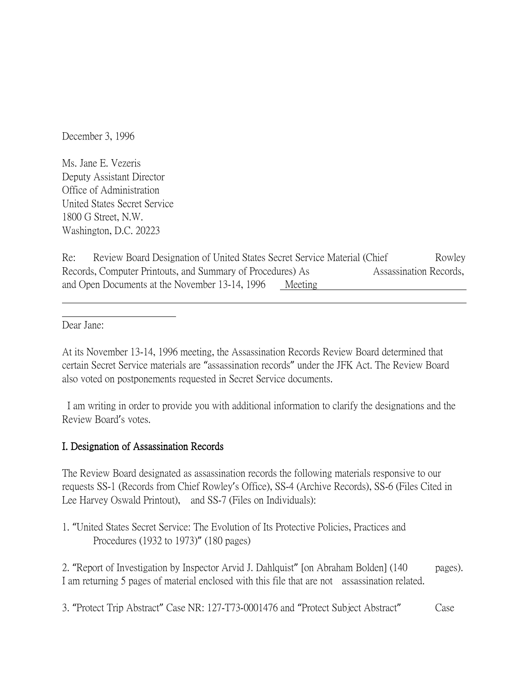December 3, 1996

Ms. Jane E. Vezeris Deputy Assistant Director Office of Administration United States Secret Service 1800 G Street, N.W. Washington, D.C. 20223

Re: Review Board Designation of United States Secret Service Material (Chief Rowley Records, Computer Printouts, and Summary of Procedures) As Assassination Records, and Open Documents at the November 13-14, 1996 Meeting

Dear Jane:

At its November 13-14, 1996 meeting, the Assassination Records Review Board determined that certain Secret Service materials are "assassination records" under the JFK Act. The Review Board also voted on postponements requested in Secret Service documents.

I am writing in order to provide you with additional information to clarify the designations and the Review Board's votes.

## I. Designation of Assassination Records

The Review Board designated as assassination records the following materials responsive to our requests SS-1 (Records from Chief Rowley's Office), SS-4 (Archive Records), SS-6 (Files Cited in Lee Harvey Oswald Printout), and SS-7 (Files on Individuals):

1. "United States Secret Service: The Evolution of Its Protective Policies, Practices and Procedures (1932 to 1973)" (180 pages)

2. "Report of Investigation by Inspector Arvid J. Dahlquist" [on Abraham Bolden] (140 pages). I am returning 5 pages of material enclosed with this file that are not assassination related.

3. "Protect Trip Abstract" Case NR: 127-T73-0001476 and "Protect Subject Abstract" Case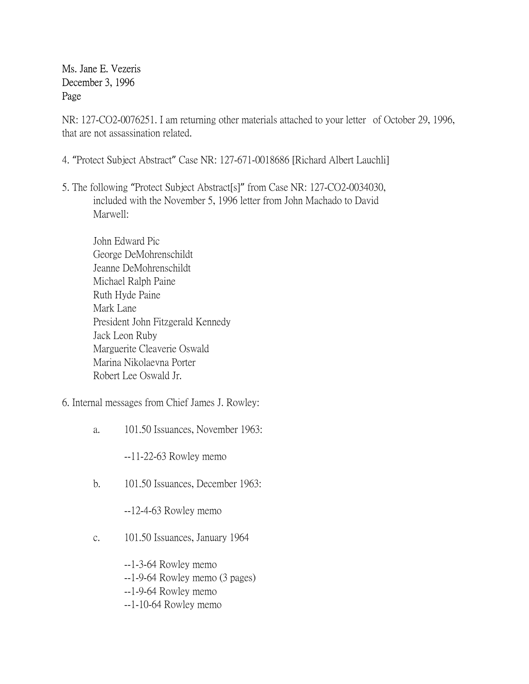Ms. Jane E. Vezeris December 3, 1996 Page Page

NR: 127-CO2-0076251. I am returning other materials attached to your letter of October 29, 1996, that are not assassination related.

- 4. "Protect Subject Abstract" Case NR: 127-671-0018686 [Richard Albert Lauchli]
- 5. The following "Protect Subject Abstract[s]" from Case NR: 127-CO2-0034030, included with the November 5, 1996 letter from John Machado to David Marwell:
	- John Edward Pic George DeMohrenschildt Jeanne DeMohrenschildt Michael Ralph Paine Ruth Hyde Paine Mark Lane President John Fitzgerald Kennedy Jack Leon Ruby Marguerite Cleaverie Oswald Marina Nikolaevna Porter Robert Lee Oswald Jr.
- 6. Internal messages from Chief James J. Rowley:
	- a. 101.50 Issuances, November 1963:

--11-22-63 Rowley memo

b. 101.50 Issuances, December 1963:

--12-4-63 Rowley memo

- c. 101.50 Issuances, January 1964
	- --1-3-64 Rowley memo
	- --1-9-64 Rowley memo (3 pages)
	- --1-9-64 Rowley memo
	- --1-10-64 Rowley memo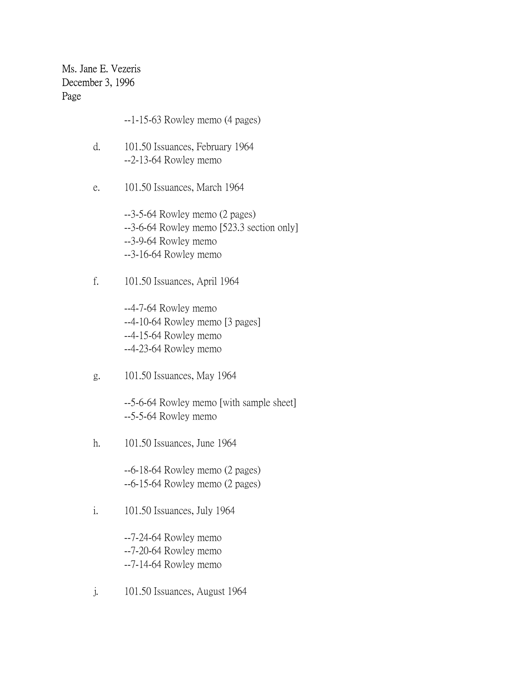Ms. Jane E. Vezeris December 3, 1996 Page Page

- --1-15-63 Rowley memo (4 pages)
- d. 101.50 Issuances, February 1964 --2-13-64 Rowley memo
- e. 101.50 Issuances, March 1964

--3-5-64 Rowley memo (2 pages) --3-6-64 Rowley memo [523.3 section only] --3-9-64 Rowley memo --3-16-64 Rowley memo

f. 101.50 Issuances, April 1964

--4-7-64 Rowley memo --4-10-64 Rowley memo [3 pages] --4-15-64 Rowley memo --4-23-64 Rowley memo

g. 101.50 Issuances, May 1964

--5-6-64 Rowley memo [with sample sheet] --5-5-64 Rowley memo

h. 101.50 Issuances, June 1964

--6-18-64 Rowley memo (2 pages) --6-15-64 Rowley memo (2 pages)

i. 101.50 Issuances, July 1964

--7-24-64 Rowley memo --7-20-64 Rowley memo --7-14-64 Rowley memo

j. 101.50 Issuances, August 1964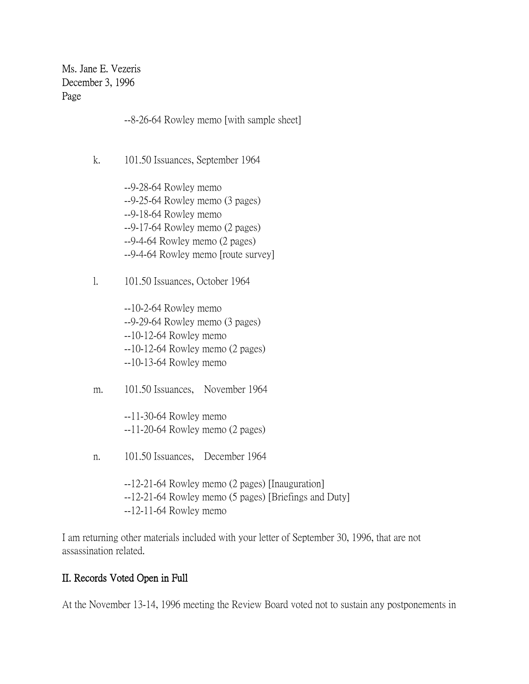Ms. Jane E. Vezeris December 3, 1996 Page Page

--8-26-64 Rowley memo [with sample sheet]

- k. 101.50 Issuances, September 1964
	- --9-28-64 Rowley memo --9-25-64 Rowley memo (3 pages) --9-18-64 Rowley memo --9-17-64 Rowley memo (2 pages) --9-4-64 Rowley memo (2 pages) --9-4-64 Rowley memo [route survey]
- l. 101.50 Issuances, October 1964

--10-2-64 Rowley memo --9-29-64 Rowley memo (3 pages) --10-12-64 Rowley memo --10-12-64 Rowley memo (2 pages) --10-13-64 Rowley memo

m. 101.50 Issuances, November 1964

--11-30-64 Rowley memo --11-20-64 Rowley memo (2 pages)

n. 101.50 Issuances, December 1964

--12-21-64 Rowley memo (2 pages) [Inauguration] --12-21-64 Rowley memo (5 pages) [Briefings and Duty] --12-11-64 Rowley memo

I am returning other materials included with your letter of September 30, 1996, that are not assassination related.

## II. Records Voted Open in Full

At the November 13-14, 1996 meeting the Review Board voted not to sustain any postponements in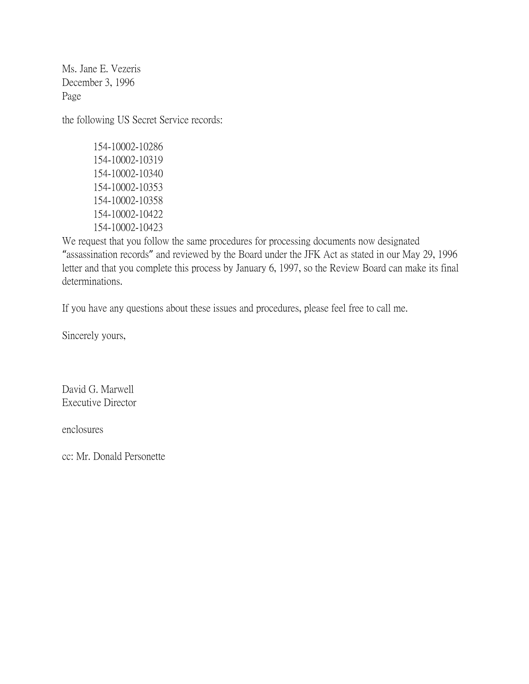Ms. Jane E. Vezeris December 3, 1996 Page

the following US Secret Service records:

154-10002-10286 154-10002-10319 154-10002-10340 154-10002-10353 154-10002-10358 154-10002-10422 154-10002-10423

We request that you follow the same procedures for processing documents now designated "assassination records" and reviewed by the Board under the JFK Act as stated in our May 29, 1996 letter and that you complete this process by January 6, 1997, so the Review Board can make its final determinations.

If you have any questions about these issues and procedures, please feel free to call me.

Sincerely yours,

David G. Marwell Executive Director

enclosures

cc: Mr. Donald Personette